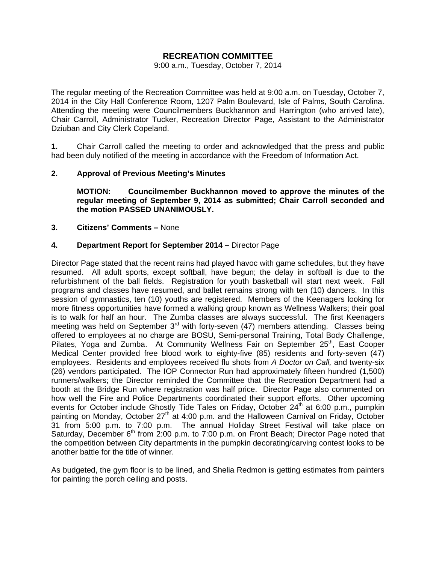# **RECREATION COMMITTEE**

#### 9:00 a.m., Tuesday, October 7, 2014

The regular meeting of the Recreation Committee was held at 9:00 a.m. on Tuesday, October 7, 2014 in the City Hall Conference Room, 1207 Palm Boulevard, Isle of Palms, South Carolina. Attending the meeting were Councilmembers Buckhannon and Harrington (who arrived late), Chair Carroll, Administrator Tucker, Recreation Director Page, Assistant to the Administrator Dziuban and City Clerk Copeland.

**1.** Chair Carroll called the meeting to order and acknowledged that the press and public had been duly notified of the meeting in accordance with the Freedom of Information Act.

### **2. Approval of Previous Meeting's Minutes**

 **MOTION: Councilmember Buckhannon moved to approve the minutes of the regular meeting of September 9, 2014 as submitted; Chair Carroll seconded and the motion PASSED UNANIMOUSLY.** 

#### **3. Citizens' Comments –** None

### **4. Department Report for September 2014 –** Director Page

Director Page stated that the recent rains had played havoc with game schedules, but they have resumed. All adult sports, except softball, have begun; the delay in softball is due to the refurbishment of the ball fields. Registration for youth basketball will start next week. Fall programs and classes have resumed, and ballet remains strong with ten (10) dancers. In this session of gymnastics, ten (10) youths are registered. Members of the Keenagers looking for more fitness opportunities have formed a walking group known as Wellness Walkers; their goal is to walk for half an hour. The Zumba classes are always successful. The first Keenagers meeting was held on September  $3<sup>rd</sup>$  with forty-seven (47) members attending. Classes being offered to employees at no charge are BOSU, Semi-personal Training, Total Body Challenge, Pilates, Yoga and Zumba. At Community Wellness Fair on September 25<sup>th</sup>, East Cooper Medical Center provided free blood work to eighty-five (85) residents and forty-seven (47) employees. Residents and employees received flu shots from *A Doctor on Call,* and twenty-six (26) vendors participated. The IOP Connector Run had approximately fifteen hundred (1,500) runners/walkers; the Director reminded the Committee that the Recreation Department had a booth at the Bridge Run where registration was half price. Director Page also commented on how well the Fire and Police Departments coordinated their support efforts. Other upcoming events for October include Ghostly Tide Tales on Friday, October 24<sup>th</sup> at 6:00 p.m., pumpkin painting on Monday, October  $27<sup>th</sup>$  at 4:00 p.m. and the Halloween Carnival on Friday, October 31 from 5:00 p.m. to 7:00 p.m. The annual Holiday Street Festival will take place on Saturday, December  $6<sup>th</sup>$  from 2:00 p.m. to 7:00 p.m. on Front Beach; Director Page noted that the competition between City departments in the pumpkin decorating/carving contest looks to be another battle for the title of winner.

As budgeted, the gym floor is to be lined, and Shelia Redmon is getting estimates from painters for painting the porch ceiling and posts.